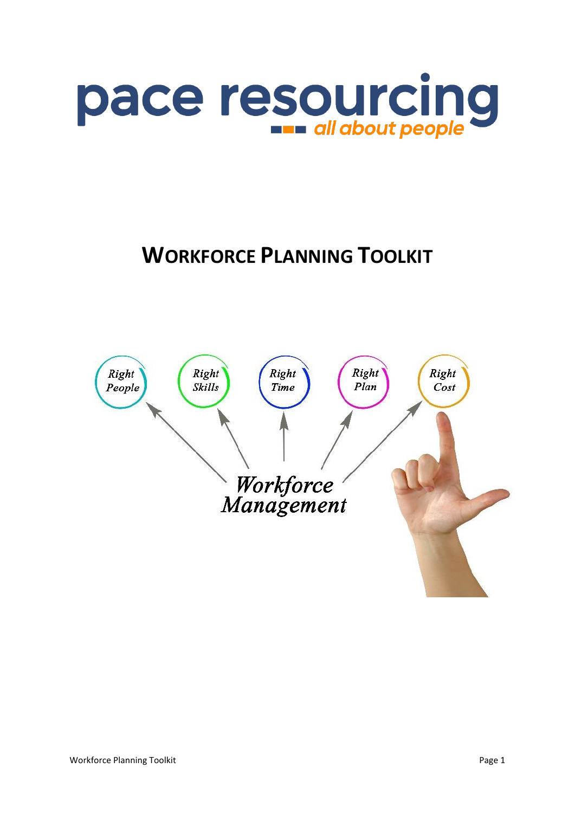

# **WORKFORCE PLANNING TOOLKIT**

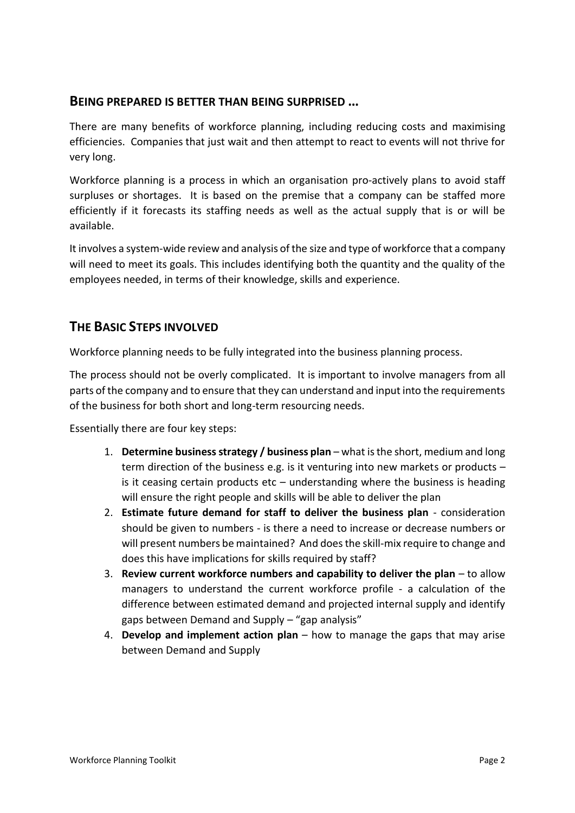#### **BEING PREPARED IS BETTER THAN BEING SURPRISED …**

There are many benefits of workforce planning, including reducing costs and maximising efficiencies. Companies that just wait and then attempt to react to events will not thrive for very long.

Workforce planning is a process in which an organisation pro-actively plans to avoid staff surpluses or shortages. It is based on the premise that a company can be staffed more efficiently if it forecasts its staffing needs as well as the actual supply that is or will be available.

It involves a system-wide review and analysis of the size and type of workforce that a company will need to meet its goals. This includes identifying both the quantity and the quality of the employees needed, in terms of their knowledge, skills and experience.

### **THE BASIC STEPS INVOLVED**

Workforce planning needs to be fully integrated into the business planning process.

The process should not be overly complicated. It is important to involve managers from all parts of the company and to ensure that they can understand and input into the requirements of the business for both short and long-term resourcing needs.

Essentially there are four key steps:

- 1. **Determine business strategy / business plan**  what is the short, medium and long term direction of the business e.g. is it venturing into new markets or products – is it ceasing certain products etc – understanding where the business is heading will ensure the right people and skills will be able to deliver the plan
- 2. **Estimate future demand for staff to deliver the business plan** consideration should be given to numbers - is there a need to increase or decrease numbers or will present numbers be maintained? And does the skill-mix require to change and does this have implications for skills required by staff?
- 3. **Review current workforce numbers and capability to deliver the plan** to allow managers to understand the current workforce profile - a calculation of the difference between estimated demand and projected internal supply and identify gaps between Demand and Supply – "gap analysis"
- 4. **Develop and implement action plan** how to manage the gaps that may arise between Demand and Supply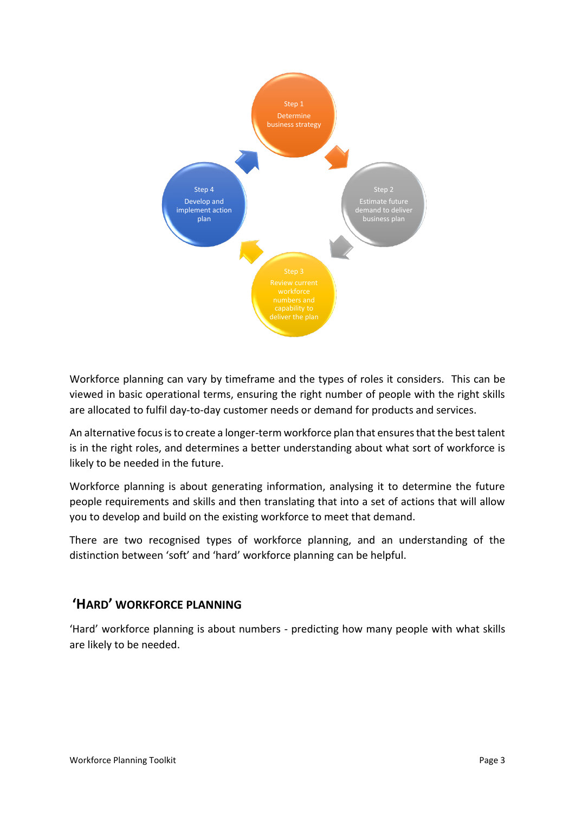

Workforce planning can vary by timeframe and the types of roles it considers. This can be viewed in basic operational terms, ensuring the right number of people with the right skills are allocated to fulfil day-to-day customer needs or demand for products and services.

An alternative focus is to create a longer-term workforce plan that ensures that the best talent is in the right roles, and determines a better understanding about what sort of workforce is likely to be needed in the future.

Workforce planning is about generating information, analysing it to determine the future people requirements and skills and then translating that into a set of actions that will allow you to develop and build on the existing workforce to meet that demand.

There are two recognised types of workforce planning, and an understanding of the distinction between 'soft' and 'hard' workforce planning can be helpful.

### **'HARD' WORKFORCE PLANNING**

'Hard' workforce planning is about numbers - predicting how many people with what skills are likely to be needed.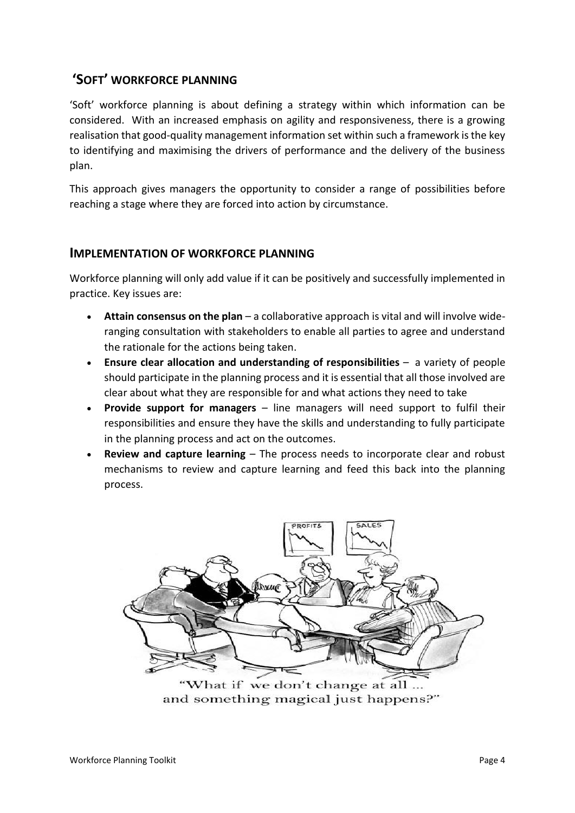## **'SOFT' WORKFORCE PLANNING**

'Soft' workforce planning is about defining a strategy within which information can be considered. With an increased emphasis on agility and responsiveness, there is a growing realisation that good-quality management information set within such a framework is the key to identifying and maximising the drivers of performance and the delivery of the business plan.

This approach gives managers the opportunity to consider a range of possibilities before reaching a stage where they are forced into action by circumstance.

#### **IMPLEMENTATION OF WORKFORCE PLANNING**

Workforce planning will only add value if it can be positively and successfully implemented in practice. Key issues are:

- **Attain consensus on the plan** a collaborative approach is vital and will involve wideranging consultation with stakeholders to enable all parties to agree and understand the rationale for the actions being taken.
- **Ensure clear allocation and understanding of responsibilities** a variety of people should participate in the planning process and it is essential that all those involved are clear about what they are responsible for and what actions they need to take
- **Provide support for managers** line managers will need support to fulfil their responsibilities and ensure they have the skills and understanding to fully participate in the planning process and act on the outcomes.
- **Review and capture learning** The process needs to incorporate clear and robust mechanisms to review and capture learning and feed this back into the planning process.



and something magical just happens?"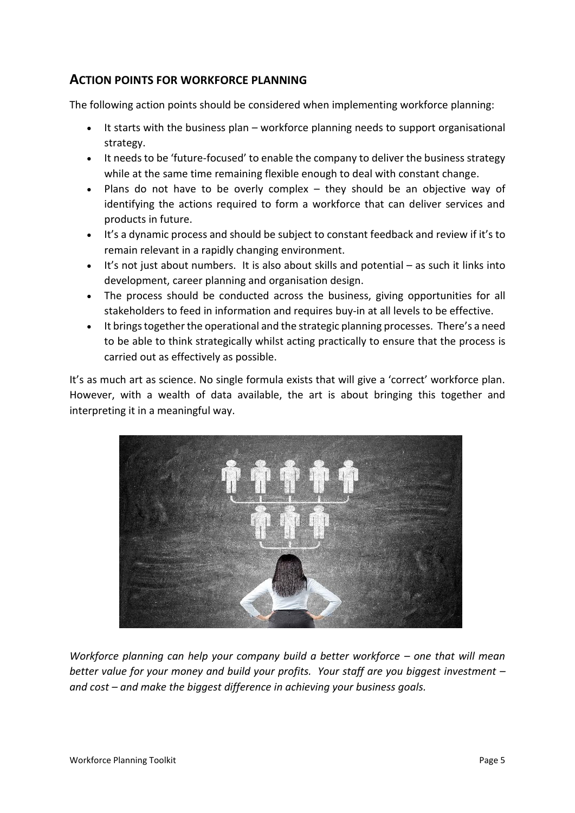#### **ACTION POINTS FOR WORKFORCE PLANNING**

The following action points should be considered when implementing workforce planning:

- It starts with the business plan workforce planning needs to support organisational strategy.
- It needs to be 'future-focused' to enable the company to deliver the business strategy while at the same time remaining flexible enough to deal with constant change.
- Plans do not have to be overly complex they should be an objective way of identifying the actions required to form a workforce that can deliver services and products in future.
- It's a dynamic process and should be subject to constant feedback and review if it's to remain relevant in a rapidly changing environment.
- It's not just about numbers. It is also about skills and potential as such it links into development, career planning and organisation design.
- The process should be conducted across the business, giving opportunities for all stakeholders to feed in information and requires buy-in at all levels to be effective.
- It brings together the operational and the strategic planning processes. There's a need to be able to think strategically whilst acting practically to ensure that the process is carried out as effectively as possible.

It's as much art as science. No single formula exists that will give a 'correct' workforce plan. However, with a wealth of data available, the art is about bringing this together and interpreting it in a meaningful way.



*Workforce planning can help your company build a better workforce – one that will mean better value for your money and build your profits. Your staff are you biggest investment – and cost – and make the biggest difference in achieving your business goals.*